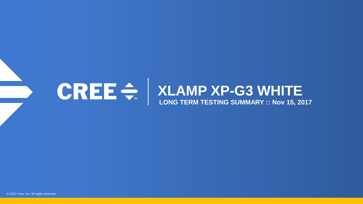

# **XLAMP XP-G3 WHITE LONG TERM TESTING SUMMARY :: Nov 15, 2017**

© 2017 Cree, Inc. All rights reserved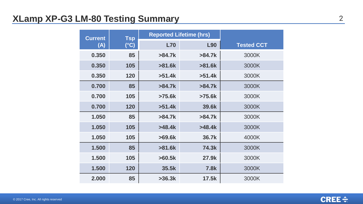# **XLamp XP-G3 LM-80 Testing Summary** 2

| <b>Current</b> | <b>Tsp</b>    | <b>Reported Lifetime (hrs)</b> |             |                   |
|----------------|---------------|--------------------------------|-------------|-------------------|
| (A)            | $(^{\circ}C)$ | <b>L70</b>                     | L90         | <b>Tested CCT</b> |
| 0.350          | 85            | >84.7k                         | $>84.7k$    | 3000K             |
| 0.350          | 105           | $>81.6k$                       | $>81.6k$    | 3000K             |
| 0.350          | 120           | >51.4k                         | >51.4k      | 3000K             |
| 0.700          | 85            | $>84.7k$                       | >84.7k      | 3000K             |
| 0.700          | 105           | $>75.6k$                       | $>75.6k$    | 3000K             |
| 0.700          | 120           | >51.4k                         | 39.6k       | 3000K             |
| 1.050          | 85            | >84.7k                         | >84.7k      | 3000K             |
| 1.050          | 105           | >48.4k                         | >48.4k      | 3000K             |
| 1.050          | 105           | $>69.6k$                       | 36.7k       | 4000K             |
| 1.500          | 85            | $>81.6k$                       | 74.3k       | 3000K             |
| 1.500          | 105           | >60.5k                         | 27.9k       | 3000K             |
| 1.500          | 120           | 35.5k                          | <b>7.8k</b> | 3000K             |
| 2.000          | 85            | $>36.3k$                       | 17.5k       | 3000K             |

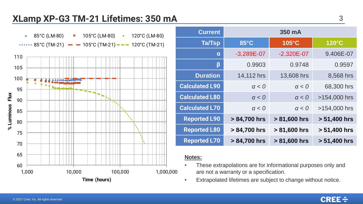# **XLamp XP-G3 TM-21 Lifetimes: 350 mA**



| <b>Current</b>        | 350 mA         |                |              |
|-----------------------|----------------|----------------|--------------|
| <b>Ta/Tsp</b>         | 85°C           | 105°C          | 120°C        |
| $\alpha$              | $-3.289E - 07$ | $-2.320E - 07$ | 9.406E-07    |
| β                     | 0.9903         | 0.9748         | 0.9597       |
| <b>Duration</b>       | 14,112 hrs     | 13,608 hrs     | 8,568 hrs    |
| <b>Calculated L90</b> | $\alpha < 0$   | $\alpha < 0$   | 68,300 hrs   |
| <b>Calculated L80</b> | $\alpha < 0$   | $\alpha < 0$   | >154,000 hrs |
| <b>Calculated L70</b> | $\alpha < 0$   | $\alpha < 0$   | >154,000 hrs |
| <b>Reported L90</b>   | > 84,700 hrs   | > 81,600 hrs   | > 51,400 hrs |
| <b>Reported L80</b>   | > 84,700 hrs   | > 81,600 hrs   | > 51,400 hrs |
| <b>Reported L70</b>   | > 84,700 hrs   | > 81,600 hrs   | > 51,400 hrs |

- These extrapolations are for informational purposes only and are not a warranty or a specification.
- Extrapolated lifetimes are subject to change without notice.

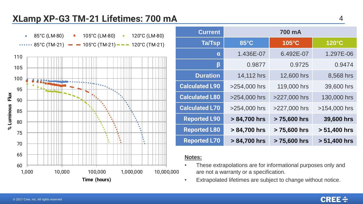# **XLamp XP-G3 TM-21 Lifetimes: 700 mA**



| <b>Current</b>        | 700 mA       |              |                 |
|-----------------------|--------------|--------------|-----------------|
| <b>Ta/Tsp</b>         | 85°C         | 105°C        | $120^{\circ}$ C |
| $\mathbf{a}$          | 1.436E-07    | 6.492E-07    | 1.297E-06       |
| β                     | 0.9877       | 0.9725       | 0.9474          |
| <b>Duration</b>       | 14,112 hrs   | 12,600 hrs   | 8,568 hrs       |
| <b>Calculated L90</b> | >254,000 hrs | 119,000 hrs  | 39,600 hrs      |
| <b>Calculated L80</b> | >254,000 hrs | >227,000 hrs | 130,000 hrs     |
| <b>Calculated L70</b> | >254,000 hrs | >227,000 hrs | >154,000 hrs    |
| <b>Reported L90</b>   | > 84,700 hrs | > 75,600 hrs | 39,600 hrs      |
| <b>Reported L80</b>   | > 84,700 hrs | > 75,600 hrs | > 51,400 hrs    |
| <b>Reported L70</b>   | > 84,700 hrs | > 75,600 hrs | > 51,400 hrs    |

- These extrapolations are for informational purposes only and are not a warranty or a specification.
- Extrapolated lifetimes are subject to change without notice.

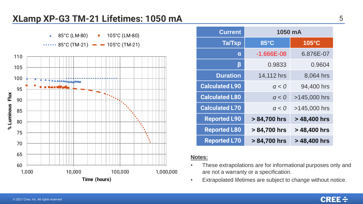## **XLamp XP-G3 TM-21 Lifetimes: 1050 mA**



| <b>Current</b>        | 1050 mA        |                 |
|-----------------------|----------------|-----------------|
| Ta/Tsp                | $85^{\circ}$ C | $105^{\circ}$ C |
| $\mathbf{a}$          | $-1.666E - 08$ | 6.876E-07       |
| β                     | 0.9833         | 0.9604          |
| <b>Duration</b>       | 14,112 hrs     | 8,064 hrs       |
| <b>Calculated L90</b> | $\alpha < 0$   | 94,400 hrs      |
| <b>Calculated L80</b> | $\alpha < 0$   | >145,000 hrs    |
| <b>Calculated L70</b> | $\alpha < 0$   | >145,000 hrs    |
| <b>Reported L90</b>   | > 84,700 hrs   | > 48,400 hrs    |
| <b>Reported L80</b>   | > 84,700 hrs   | > 48,400 hrs    |
| <b>Reported L70</b>   | > 84,700 hrs   | > 48,400 hrs    |

- These extrapolations are for informational purposes only and are not a warranty or a specification.
- Extrapolated lifetimes are subject to change without notice.

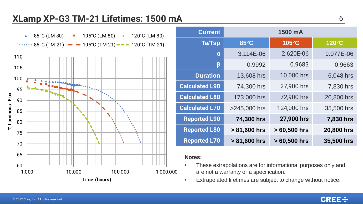# **XLamp XP-G3 TM-21 Lifetimes: 1500 mA**



| <b>Current</b>        | 1500 mA      |               |            |
|-----------------------|--------------|---------------|------------|
| <b>Ta/Tsp</b>         | 85°C         | 105°C         | 120°C      |
| $\alpha$              | 3.114E-06    | 2.620E-06     | 9.077E-06  |
| β                     | 0.9992       | 0.9683        | 0.9663     |
| <b>Duration</b>       | 13,608 hrs   | 10.080 hrs    | 6,048 hrs  |
| <b>Calculated L90</b> | 74,300 hrs   | 27,900 hrs    | 7,830 hrs  |
| <b>Calculated L80</b> | 173,000 hrs  | 72,900 hrs    | 20,800 hrs |
| <b>Calculated L70</b> | >245,000 hrs | 124,000 hrs   | 35,500 hrs |
| <b>Reported L90</b>   | 74,300 hrs   | 27,900 hrs    | 7,830 hrs  |
| <b>Reported L80</b>   | > 81,600 hrs | $>60,500$ hrs | 20,800 hrs |
| <b>Reported L70</b>   | > 81,600 hrs | $>60,500$ hrs | 35,500 hrs |

- These extrapolations are for informational purposes only and are not a warranty or a specification.
- Extrapolated lifetimes are subject to change without notice.

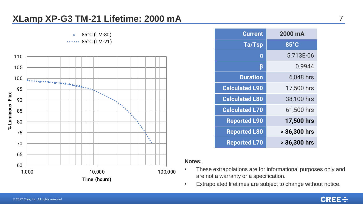## **XLamp XP-G3 TM-21 Lifetime: 2000 mA**



| <b>Current</b>        | 2000 mA      |
|-----------------------|--------------|
| Ta/Tsp                | 85°C         |
| α                     | 5.713E-06    |
| β                     | 0.9944       |
| <b>Duration</b>       | 6,048 hrs    |
| <b>Calculated L90</b> | 17,500 hrs   |
| <b>Calculated L80</b> | 38,100 hrs   |
| <b>Calculated L70</b> | 61,500 hrs   |
| <b>Reported L90</b>   | 17,500 hrs   |
| <b>Reported L80</b>   | > 36,300 hrs |
| <b>Reported L70</b>   | > 36,300 hrs |

- These extrapolations are for informational purposes only and are not a warranty or a specification.
- Extrapolated lifetimes are subject to change without notice.

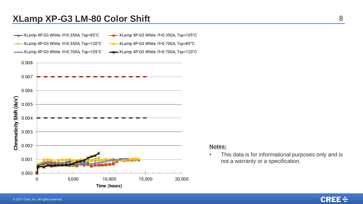### **XLamp XP-G3 LM-80 Color Shift** 8

- XLamp XP-G3 White: If=0.350A, Tsp=120°C XLamp XP-G3 White: If=0.700A, Tsp=85°C
- -ALamp XP-G3 White: If=0.350A, Tsp=85°C - XLamp XP-G3 White: If=0.350A, Tsp=105°C
	-
- XLamp XP-G3 White: If=0.700A, Tsp=105°C  $\rightarrow \times$  XLamp XP-G3 White: If=0.700A, Tsp=120°C



#### **Notes:**

• This data is for informational purposes only and is not a warranty or a specification.